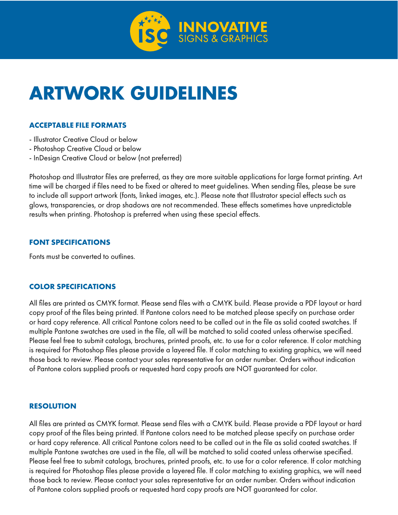

# **ARTWORK GUIDELINES**

# **ACCEPTABLE FILE FORMATS**

- Illustrator Creative Cloud or below
- Photoshop Creative Cloud or below
- InDesign Creative Cloud or below (not preferred)

Photoshop and Illustrator files are preferred, as they are more suitable applications for large format printing. Art time will be charged if files need to be fixed or altered to meet guidelines. When sending files, please be sure to include all support artwork (fonts, linked images, etc.). Please note that Illustrator special effects such as glows, transparencies, or drop shadows are not recommended. These effects sometimes have unpredictable results when printing. Photoshop is preferred when using these special effects.

# **FONT SPECIFICATIONS**

Fonts must be converted to outlines.

## **COLOR SPECIFICATIONS**

All files are printed as CMYK format. Please send files with a CMYK build. Please provide a PDF layout or hard copy proof of the files being printed. If Pantone colors need to be matched please specify on purchase order or hard copy reference. All critical Pantone colors need to be called out in the file as solid coated swatches. If multiple Pantone swatches are used in the file, all will be matched to solid coated unless otherwise specified. Please feel free to submit catalogs, brochures, printed proofs, etc. to use for a color reference. If color matching is required for Photoshop files please provide a layered file. If color matching to existing graphics, we will need those back to review. Please contact your sales representative for an order number. Orders without indication of Pantone colors supplied proofs or requested hard copy proofs are NOT guaranteed for color.

## **RESOLUTION**

All files are printed as CMYK format. Please send files with a CMYK build. Please provide a PDF layout or hard copy proof of the files being printed. If Pantone colors need to be matched please specify on purchase order or hard copy reference. All critical Pantone colors need to be called out in the file as solid coated swatches. If multiple Pantone swatches are used in the file, all will be matched to solid coated unless otherwise specified. Please feel free to submit catalogs, brochures, printed proofs, etc. to use for a color reference. If color matching is required for Photoshop files please provide a layered file. If color matching to existing graphics, we will need those back to review. Please contact your sales representative for an order number. Orders without indication of Pantone colors supplied proofs or requested hard copy proofs are NOT guaranteed for color.